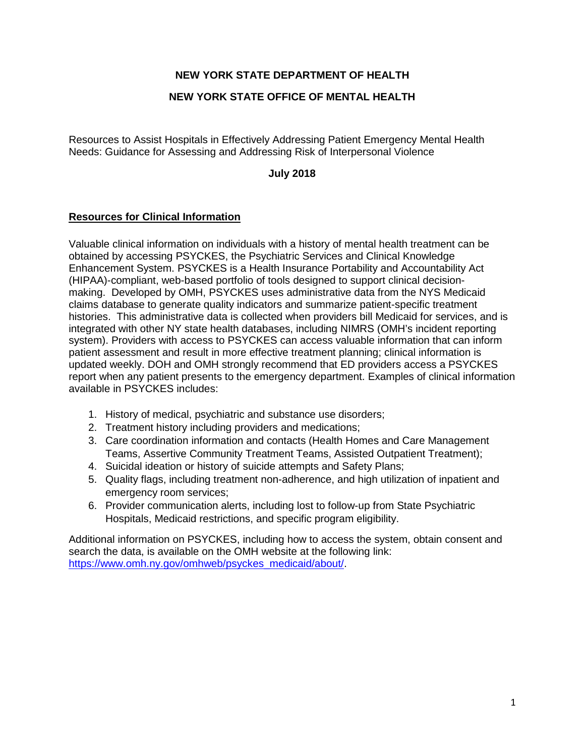# **NEW YORK STATE DEPARTMENT OF HEALTH**

### **NEW YORK STATE OFFICE OF MENTAL HEALTH**

Resources to Assist Hospitals in Effectively Addressing Patient Emergency Mental Health Needs: Guidance for Assessing and Addressing Risk of Interpersonal Violence

### **July 2018**

#### **Resources for Clinical Information**

Valuable clinical information on individuals with a history of mental health treatment can be obtained by accessing PSYCKES, the Psychiatric Services and Clinical Knowledge Enhancement System. PSYCKES is a Health Insurance Portability and Accountability Act (HIPAA)-compliant, web-based portfolio of tools designed to support clinical decisionmaking. Developed by OMH, PSYCKES uses administrative data from the NYS Medicaid claims database to generate quality indicators and summarize patient-specific treatment histories. This administrative data is collected when providers bill Medicaid for services, and is integrated with other NY state health databases, including NIMRS (OMH's incident reporting system). Providers with access to PSYCKES can access valuable information that can inform patient assessment and result in more effective treatment planning; clinical information is updated weekly. DOH and OMH strongly recommend that ED providers access a PSYCKES report when any patient presents to the emergency department. Examples of clinical information available in PSYCKES includes:

- 1. History of medical, psychiatric and substance use disorders;
- 2. Treatment history including providers and medications;
- 3. Care coordination information and contacts (Health Homes and Care Management Teams, Assertive Community Treatment Teams, Assisted Outpatient Treatment);
- 4. Suicidal ideation or history of suicide attempts and Safety Plans;
- 5. Quality flags, including treatment non-adherence, and high utilization of inpatient and emergency room services;
- 6. Provider communication alerts, including lost to follow-up from State Psychiatric Hospitals, Medicaid restrictions, and specific program eligibility.

Additional information on PSYCKES, including how to access the system, obtain consent and search the data, is available on the OMH website at the following link: [https://www.omh.ny.gov/omhweb/psyckes\\_medicaid/about/.](https://www.omh.ny.gov/omhweb/psyckes_medicaid/about/)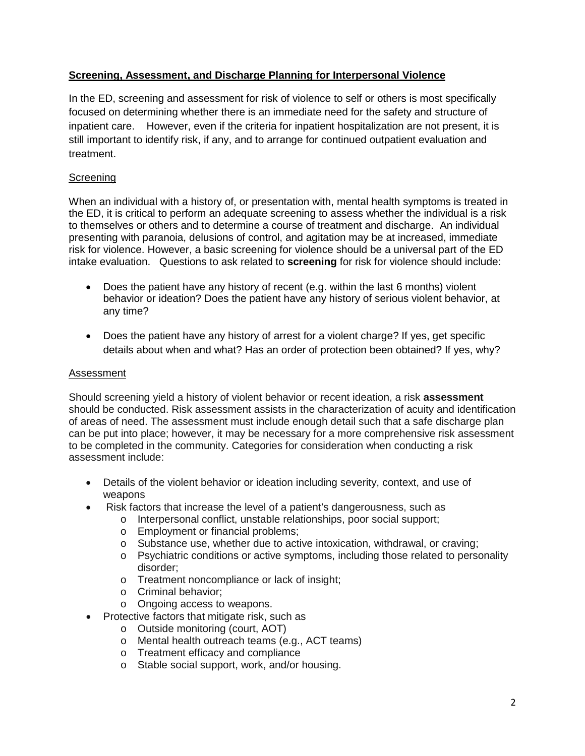# **Screening, Assessment, and Discharge Planning for Interpersonal Violence**

In the ED, screening and assessment for risk of violence to self or others is most specifically focused on determining whether there is an immediate need for the safety and structure of inpatient care. However, even if the criteria for inpatient hospitalization are not present, it is still important to identify risk, if any, and to arrange for continued outpatient evaluation and treatment.

# Screening

When an individual with a history of, or presentation with, mental health symptoms is treated in the ED, it is critical to perform an adequate screening to assess whether the individual is a risk to themselves or others and to determine a course of treatment and discharge. An individual presenting with paranoia, delusions of control, and agitation may be at increased, immediate risk for violence. However, a basic screening for violence should be a universal part of the ED intake evaluation. Questions to ask related to **screening** for risk for violence should include:

- Does the patient have any history of recent (e.g. within the last 6 months) violent behavior or ideation? Does the patient have any history of serious violent behavior, at any time?
- Does the patient have any history of arrest for a violent charge? If yes, get specific details about when and what? Has an order of protection been obtained? If yes, why?

## Assessment

Should screening yield a history of violent behavior or recent ideation, a risk **assessment** should be conducted. Risk assessment assists in the characterization of acuity and identification of areas of need. The assessment must include enough detail such that a safe discharge plan can be put into place; however, it may be necessary for a more comprehensive risk assessment to be completed in the community. Categories for consideration when conducting a risk assessment include:

- Details of the violent behavior or ideation including severity, context, and use of weapons
- Risk factors that increase the level of a patient's dangerousness, such as
	- o Interpersonal conflict, unstable relationships, poor social support;
	- o Employment or financial problems;
	- o Substance use, whether due to active intoxication, withdrawal, or craving;
	- o Psychiatric conditions or active symptoms, including those related to personality disorder;
	- o Treatment noncompliance or lack of insight;
	- o Criminal behavior;
	- o Ongoing access to weapons.
- Protective factors that mitigate risk, such as
	- o Outside monitoring (court, AOT)
	- o Mental health outreach teams (e.g., ACT teams)
	- o Treatment efficacy and compliance
	- o Stable social support, work, and/or housing.